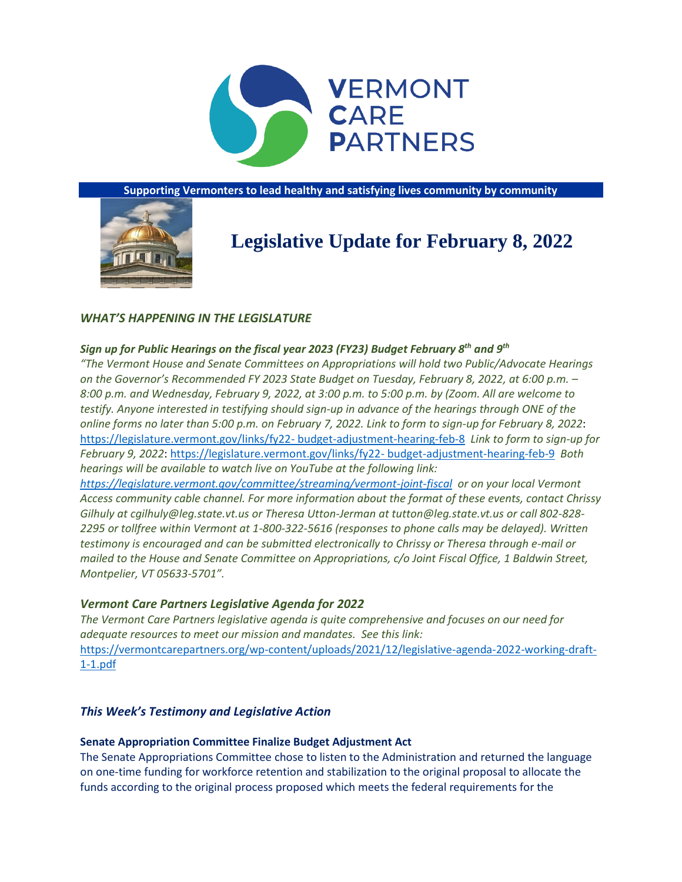

**Supporting Vermonters to lead healthy and satisfying lives community by community**



# **Legislative Update for February 8, 2022**

# *WHAT'S HAPPENING IN THE LEGISLATURE*

# *Sign up for Public Hearings on the fiscal year 2023 (FY23) Budget February 8th and 9th*

*"The Vermont House and Senate Committees on Appropriations will hold two Public/Advocate Hearings on the Governor's Recommended FY 2023 State Budget on Tuesday, February 8, 2022, at 6:00 p.m. – 8:00 p.m. and Wednesday, February 9, 2022, at 3:00 p.m. to 5:00 p.m. by (Zoom. All are welcome to testify. Anyone interested in testifying should sign-up in advance of the hearings through ONE of the online forms no later than 5:00 p.m. on February 7, 2022. Link to form to sign-up for February 8, 2022*: [https://legislature.vermont.gov/links/fy22-](https://legislature.vermont.gov/links/fy22-%20budget-adjustment-hearing-feb-8) budget-adjustment-hearing-feb-8 *Link to form to sign-up for February 9, 2022*: [https://legislature.vermont.gov/links/fy22-](https://legislature.vermont.gov/links/fy22-%20budget-adjustment-hearing-feb-9) budget-adjustment-hearing-feb-9 *Both hearings will be available to watch live on YouTube at the following link:* 

*<https://legislature.vermont.gov/committee/streaming/vermont-joint-fiscal> or on your local Vermont Access community cable channel. For more information about the format of these events, contact Chrissy Gilhuly at cgilhuly@leg.state.vt.us or Theresa Utton-Jerman at tutton@leg.state.vt.us or call 802-828- 2295 or tollfree within Vermont at 1-800-322-5616 (responses to phone calls may be delayed). Written testimony is encouraged and can be submitted electronically to Chrissy or Theresa through e-mail or mailed to the House and Senate Committee on Appropriations, c/o Joint Fiscal Office, 1 Baldwin Street, Montpelier, VT 05633-5701".*

# *Vermont Care Partners Legislative Agenda for 2022*

*The Vermont Care Partners legislative agenda is quite comprehensive and focuses on our need for adequate resources to meet our mission and mandates. See this link:*  [https://vermontcarepartners.org/wp-content/uploads/2021/12/legislative-agenda-2022-working-draft-](https://vermontcarepartners.org/wp-content/uploads/2021/12/legislative-agenda-2022-working-draft-1-1.pdf)[1-1.pdf](https://vermontcarepartners.org/wp-content/uploads/2021/12/legislative-agenda-2022-working-draft-1-1.pdf)

# *This Week's Testimony and Legislative Action*

# **Senate Appropriation Committee Finalize Budget Adjustment Act**

The Senate Appropriations Committee chose to listen to the Administration and returned the language on one-time funding for workforce retention and stabilization to the original proposal to allocate the funds according to the original process proposed which meets the federal requirements for the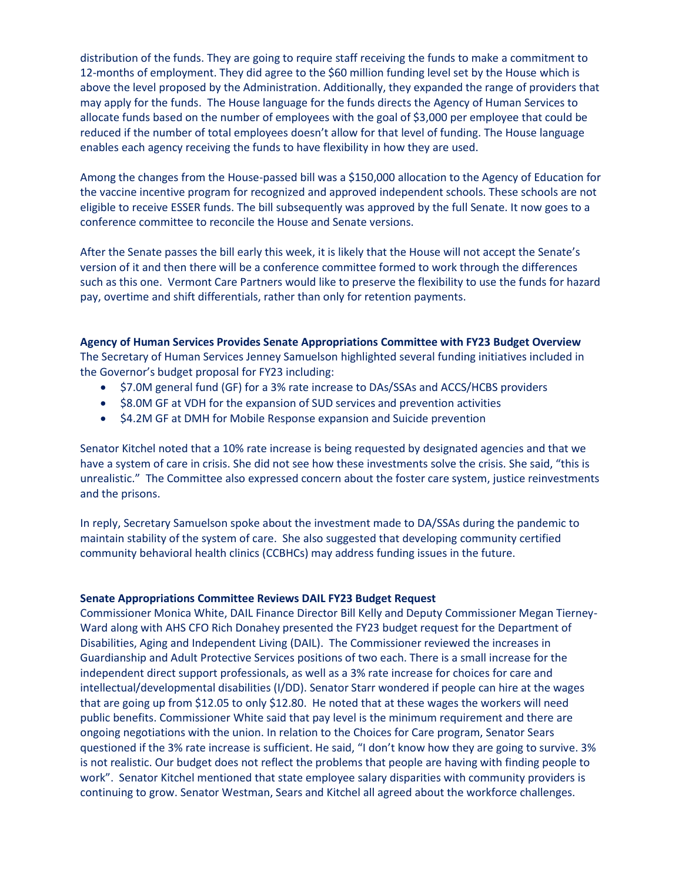distribution of the funds. They are going to require staff receiving the funds to make a commitment to 12-months of employment. They did agree to the \$60 million funding level set by the House which is above the level proposed by the Administration. Additionally, they expanded the range of providers that may apply for the funds. The House language for the funds directs the Agency of Human Services to allocate funds based on the number of employees with the goal of \$3,000 per employee that could be reduced if the number of total employees doesn't allow for that level of funding. The House language enables each agency receiving the funds to have flexibility in how they are used.

Among the changes from the House-passed bill was a \$150,000 allocation to the Agency of Education for the vaccine incentive program for recognized and approved independent schools. These schools are not eligible to receive ESSER funds. The bill subsequently was approved by the full Senate. It now goes to a conference committee to reconcile the House and Senate versions.

After the Senate passes the bill early this week, it is likely that the House will not accept the Senate's version of it and then there will be a conference committee formed to work through the differences such as this one. Vermont Care Partners would like to preserve the flexibility to use the funds for hazard pay, overtime and shift differentials, rather than only for retention payments.

**Agency of Human Services Provides Senate Appropriations Committee with FY23 Budget Overview** The Secretary of Human Services Jenney Samuelson highlighted several funding initiatives included in the Governor's budget proposal for FY23 including:

- \$7.0M general fund (GF) for a 3% rate increase to DAs/SSAs and ACCS/HCBS providers
- \$8.0M GF at VDH for the expansion of SUD services and prevention activities
- \$4.2M GF at DMH for Mobile Response expansion and Suicide prevention

Senator Kitchel noted that a 10% rate increase is being requested by designated agencies and that we have a system of care in crisis. She did not see how these investments solve the crisis. She said, "this is unrealistic." The Committee also expressed concern about the foster care system, justice reinvestments and the prisons.

In reply, Secretary Samuelson spoke about the investment made to DA/SSAs during the pandemic to maintain stability of the system of care. She also suggested that developing community certified community behavioral health clinics (CCBHCs) may address funding issues in the future.

## **Senate Appropriations Committee Reviews DAIL FY23 Budget Request**

Commissioner Monica White, DAIL Finance Director Bill Kelly and Deputy Commissioner Megan Tierney-Ward along with AHS CFO Rich Donahey presented the FY23 budget request for the Department of Disabilities, Aging and Independent Living (DAIL). The Commissioner reviewed the increases in Guardianship and Adult Protective Services positions of two each. There is a small increase for the independent direct support professionals, as well as a 3% rate increase for choices for care and intellectual/developmental disabilities (I/DD). Senator Starr wondered if people can hire at the wages that are going up from \$12.05 to only \$12.80. He noted that at these wages the workers will need public benefits. Commissioner White said that pay level is the minimum requirement and there are ongoing negotiations with the union. In relation to the Choices for Care program, Senator Sears questioned if the 3% rate increase is sufficient. He said, "I don't know how they are going to survive. 3% is not realistic. Our budget does not reflect the problems that people are having with finding people to work". Senator Kitchel mentioned that state employee salary disparities with community providers is continuing to grow. Senator Westman, Sears and Kitchel all agreed about the workforce challenges.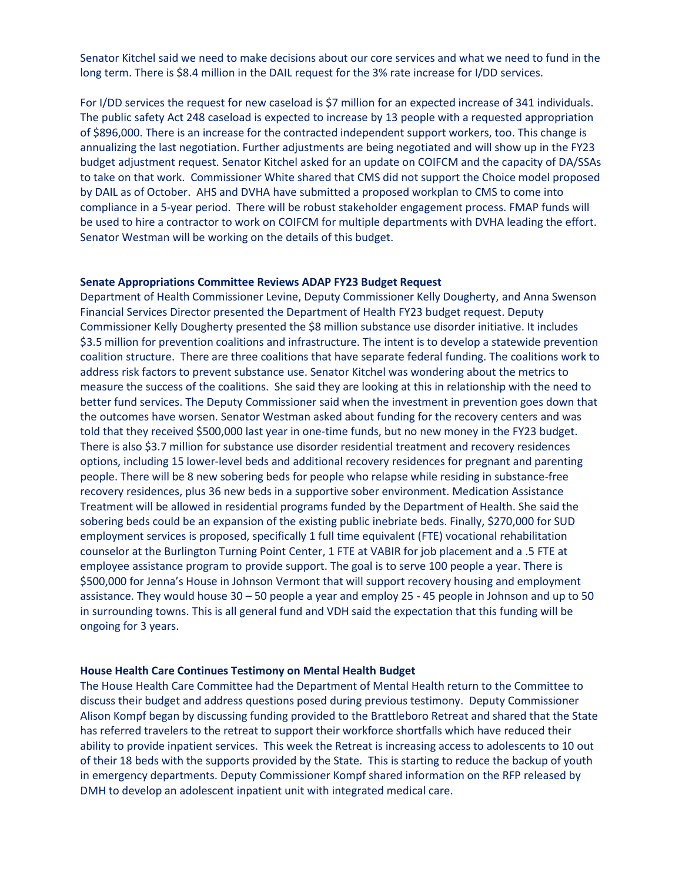Senator Kitchel said we need to make decisions about our core services and what we need to fund in the long term. There is \$8.4 million in the DAIL request for the 3% rate increase for I/DD services.

For I/DD services the request for new caseload is \$7 million for an expected increase of 341 individuals. The public safety Act 248 caseload is expected to increase by 13 people with a requested appropriation of \$896,000. There is an increase for the contracted independent support workers, too. This change is annualizing the last negotiation. Further adjustments are being negotiated and will show up in the FY23 budget adjustment request. Senator Kitchel asked for an update on COIFCM and the capacity of DA/SSAs to take on that work. Commissioner White shared that CMS did not support the Choice model proposed by DAIL as of October. AHS and DVHA have submitted a proposed workplan to CMS to come into compliance in a 5-year period. There will be robust stakeholder engagement process. FMAP funds will be used to hire a contractor to work on COIFCM for multiple departments with DVHA leading the effort. Senator Westman will be working on the details of this budget.

#### **Senate Appropriations Committee Reviews ADAP FY23 Budget Request**

Department of Health Commissioner Levine, Deputy Commissioner Kelly Dougherty, and Anna Swenson Financial Services Director presented the Department of Health FY23 budget request. Deputy Commissioner Kelly Dougherty presented the \$8 million substance use disorder initiative. It includes \$3.5 million for prevention coalitions and infrastructure. The intent is to develop a statewide prevention coalition structure. There are three coalitions that have separate federal funding. The coalitions work to address risk factors to prevent substance use. Senator Kitchel was wondering about the metrics to measure the success of the coalitions. She said they are looking at this in relationship with the need to better fund services. The Deputy Commissioner said when the investment in prevention goes down that the outcomes have worsen. Senator Westman asked about funding for the recovery centers and was told that they received \$500,000 last year in one-time funds, but no new money in the FY23 budget. There is also \$3.7 million for substance use disorder residential treatment and recovery residences options, including 15 lower-level beds and additional recovery residences for pregnant and parenting people. There will be 8 new sobering beds for people who relapse while residing in substance-free recovery residences, plus 36 new beds in a supportive sober environment. Medication Assistance Treatment will be allowed in residential programs funded by the Department of Health. She said the sobering beds could be an expansion of the existing public inebriate beds. Finally, \$270,000 for SUD employment services is proposed, specifically 1 full time equivalent (FTE) vocational rehabilitation counselor at the Burlington Turning Point Center, 1 FTE at VABIR for job placement and a .5 FTE at employee assistance program to provide support. The goal is to serve 100 people a year. There is \$500,000 for Jenna's House in Johnson Vermont that will support recovery housing and employment assistance. They would house 30 – 50 people a year and employ 25 - 45 people in Johnson and up to 50 in surrounding towns. This is all general fund and VDH said the expectation that this funding will be ongoing for 3 years.

#### **House Health Care Continues Testimony on Mental Health Budget**

The House Health Care Committee had the Department of Mental Health return to the Committee to discuss their budget and address questions posed during previous testimony. Deputy Commissioner Alison Kompf began by discussing funding provided to the Brattleboro Retreat and shared that the State has referred travelers to the retreat to support their workforce shortfalls which have reduced their ability to provide inpatient services. This week the Retreat is increasing access to adolescents to 10 out of their 18 beds with the supports provided by the State. This is starting to reduce the backup of youth in emergency departments. Deputy Commissioner Kompf shared information on the RFP released by DMH to develop an adolescent inpatient unit with integrated medical care.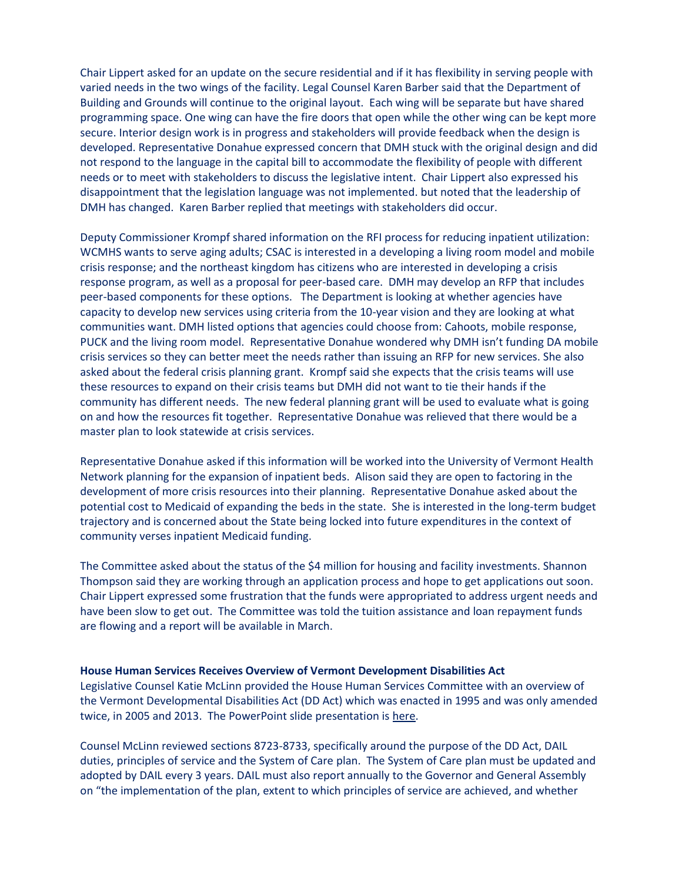Chair Lippert asked for an update on the secure residential and if it has flexibility in serving people with varied needs in the two wings of the facility. Legal Counsel Karen Barber said that the Department of Building and Grounds will continue to the original layout. Each wing will be separate but have shared programming space. One wing can have the fire doors that open while the other wing can be kept more secure. Interior design work is in progress and stakeholders will provide feedback when the design is developed. Representative Donahue expressed concern that DMH stuck with the original design and did not respond to the language in the capital bill to accommodate the flexibility of people with different needs or to meet with stakeholders to discuss the legislative intent. Chair Lippert also expressed his disappointment that the legislation language was not implemented. but noted that the leadership of DMH has changed. Karen Barber replied that meetings with stakeholders did occur.

Deputy Commissioner Krompf shared information on the RFI process for reducing inpatient utilization: WCMHS wants to serve aging adults; CSAC is interested in a developing a living room model and mobile crisis response; and the northeast kingdom has citizens who are interested in developing a crisis response program, as well as a proposal for peer-based care. DMH may develop an RFP that includes peer-based components for these options. The Department is looking at whether agencies have capacity to develop new services using criteria from the 10-year vision and they are looking at what communities want. DMH listed options that agencies could choose from: Cahoots, mobile response, PUCK and the living room model. Representative Donahue wondered why DMH isn't funding DA mobile crisis services so they can better meet the needs rather than issuing an RFP for new services. She also asked about the federal crisis planning grant. Krompf said she expects that the crisis teams will use these resources to expand on their crisis teams but DMH did not want to tie their hands if the community has different needs. The new federal planning grant will be used to evaluate what is going on and how the resources fit together. Representative Donahue was relieved that there would be a master plan to look statewide at crisis services.

Representative Donahue asked if this information will be worked into the University of Vermont Health Network planning for the expansion of inpatient beds. Alison said they are open to factoring in the development of more crisis resources into their planning. Representative Donahue asked about the potential cost to Medicaid of expanding the beds in the state. She is interested in the long-term budget trajectory and is concerned about the State being locked into future expenditures in the context of community verses inpatient Medicaid funding.

The Committee asked about the status of the \$4 million for housing and facility investments. Shannon Thompson said they are working through an application process and hope to get applications out soon. Chair Lippert expressed some frustration that the funds were appropriated to address urgent needs and have been slow to get out. The Committee was told the tuition assistance and loan repayment funds are flowing and a report will be available in March.

#### **House Human Services Receives Overview of Vermont Development Disabilities Act**

Legislative Counsel Katie McLinn provided the House Human Services Committee with an overview of the Vermont Developmental Disabilities Act (DD Act) which was enacted in 1995 and was only amended twice, in 2005 and 2013. The PowerPoint slide presentation is [here.](https://legislature.vermont.gov/Documents/2022/WorkGroups/House%20Human%20Services/Developmental%20Disabilities%20Services%20System/W~Katie%20McLinn~18%20V.S.A.%20Chapter%20204-%20Developmental%20Disabiltiies%20Act%20Overview~2-1-2022.pdf)

Counsel McLinn reviewed sections 8723-8733, specifically around the purpose of the DD Act, DAIL duties, principles of service and the System of Care plan. The System of Care plan must be updated and adopted by DAIL every 3 years. DAIL must also report annually to the Governor and General Assembly on "the implementation of the plan, extent to which principles of service are achieved, and whether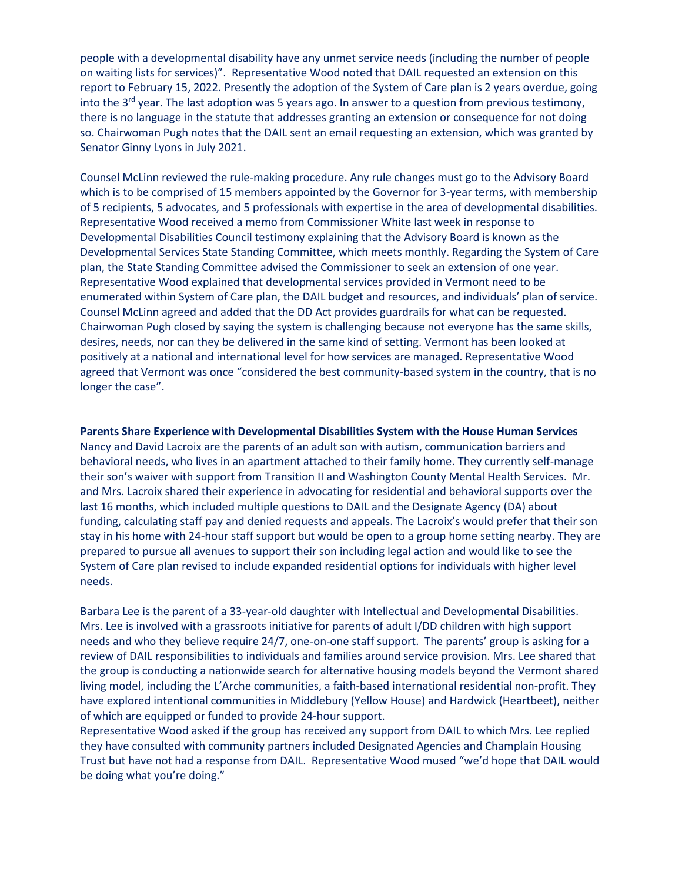people with a developmental disability have any unmet service needs (including the number of people on waiting lists for services)". Representative Wood noted that DAIL requested an extension on this report to February 15, 2022. Presently the adoption of the System of Care plan is 2 years overdue, going into the  $3<sup>rd</sup>$  year. The last adoption was 5 years ago. In answer to a question from previous testimony, there is no language in the statute that addresses granting an extension or consequence for not doing so. Chairwoman Pugh notes that the DAIL sent an email requesting an extension, which was granted by Senator Ginny Lyons in July 2021.

Counsel McLinn reviewed the rule-making procedure. Any rule changes must go to the Advisory Board which is to be comprised of 15 members appointed by the Governor for 3-year terms, with membership of 5 recipients, 5 advocates, and 5 professionals with expertise in the area of developmental disabilities. Representative Wood received a memo from Commissioner White last week in response to Developmental Disabilities Council testimony explaining that the Advisory Board is known as the Developmental Services State Standing Committee, which meets monthly. Regarding the System of Care plan, the State Standing Committee advised the Commissioner to seek an extension of one year. Representative Wood explained that developmental services provided in Vermont need to be enumerated within System of Care plan, the DAIL budget and resources, and individuals' plan of service. Counsel McLinn agreed and added that the DD Act provides guardrails for what can be requested. Chairwoman Pugh closed by saying the system is challenging because not everyone has the same skills, desires, needs, nor can they be delivered in the same kind of setting. Vermont has been looked at positively at a national and international level for how services are managed. Representative Wood agreed that Vermont was once "considered the best community-based system in the country, that is no longer the case".

**Parents Share Experience with Developmental Disabilities System with the House Human Services**  Nancy and David Lacroix are the parents of an adult son with autism, communication barriers and behavioral needs, who lives in an apartment attached to their family home. They currently self-manage their son's waiver with support from Transition II and Washington County Mental Health Services. Mr. and Mrs. Lacroix shared their experience in advocating for residential and behavioral supports over the last 16 months, which included multiple questions to DAIL and the Designate Agency (DA) about funding, calculating staff pay and denied requests and appeals. The Lacroix's would prefer that their son stay in his home with 24-hour staff support but would be open to a group home setting nearby. They are prepared to pursue all avenues to support their son including legal action and would like to see the System of Care plan revised to include expanded residential options for individuals with higher level needs.

Barbara Lee is the parent of a 33-year-old daughter with Intellectual and Developmental Disabilities. Mrs. Lee is involved with a grassroots initiative for parents of adult I/DD children with high support needs and who they believe require 24/7, one-on-one staff support. The parents' group is asking for a review of DAIL responsibilities to individuals and families around service provision. Mrs. Lee shared that the group is conducting a nationwide search for alternative housing models beyond the Vermont shared living model, including the L'Arche communities, a faith-based international residential non-profit. They have explored intentional communities in Middlebury (Yellow House) and Hardwick (Heartbeet), neither of which are equipped or funded to provide 24-hour support.

Representative Wood asked if the group has received any support from DAIL to which Mrs. Lee replied they have consulted with community partners included Designated Agencies and Champlain Housing Trust but have not had a response from DAIL. Representative Wood mused "we'd hope that DAIL would be doing what you're doing."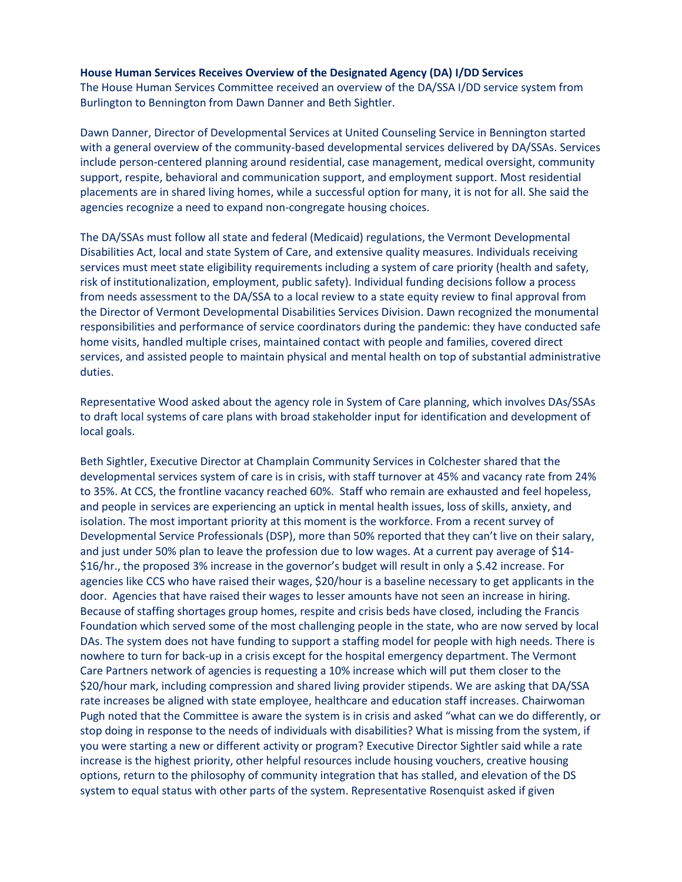## **House Human Services Receives Overview of the Designated Agency (DA) I/DD Services**

The House Human Services Committee received an overview of the DA/SSA I/DD service system from Burlington to Bennington from Dawn Danner and Beth Sightler.

Dawn Danner, Director of Developmental Services at United Counseling Service in Bennington started with a general overview of the community-based developmental services delivered by DA/SSAs. Services include person-centered planning around residential, case management, medical oversight, community support, respite, behavioral and communication support, and employment support. Most residential placements are in shared living homes, while a successful option for many, it is not for all. She said the agencies recognize a need to expand non-congregate housing choices.

The DA/SSAs must follow all state and federal (Medicaid) regulations, the Vermont Developmental Disabilities Act, local and state System of Care, and extensive quality measures. Individuals receiving services must meet state eligibility requirements including a system of care priority (health and safety, risk of institutionalization, employment, public safety). Individual funding decisions follow a process from needs assessment to the DA/SSA to a local review to a state equity review to final approval from the Director of Vermont Developmental Disabilities Services Division. Dawn recognized the monumental responsibilities and performance of service coordinators during the pandemic: they have conducted safe home visits, handled multiple crises, maintained contact with people and families, covered direct services, and assisted people to maintain physical and mental health on top of substantial administrative duties.

Representative Wood asked about the agency role in System of Care planning, which involves DAs/SSAs to draft local systems of care plans with broad stakeholder input for identification and development of local goals.

Beth Sightler, Executive Director at Champlain Community Services in Colchester shared that the developmental services system of care is in crisis, with staff turnover at 45% and vacancy rate from 24% to 35%. At CCS, the frontline vacancy reached 60%. Staff who remain are exhausted and feel hopeless, and people in services are experiencing an uptick in mental health issues, loss of skills, anxiety, and isolation. The most important priority at this moment is the workforce. From a recent survey of Developmental Service Professionals (DSP), more than 50% reported that they can't live on their salary, and just under 50% plan to leave the profession due to low wages. At a current pay average of \$14- \$16/hr., the proposed 3% increase in the governor's budget will result in only a \$.42 increase. For agencies like CCS who have raised their wages, \$20/hour is a baseline necessary to get applicants in the door. Agencies that have raised their wages to lesser amounts have not seen an increase in hiring. Because of staffing shortages group homes, respite and crisis beds have closed, including the Francis Foundation which served some of the most challenging people in the state, who are now served by local DAs. The system does not have funding to support a staffing model for people with high needs. There is nowhere to turn for back-up in a crisis except for the hospital emergency department. The Vermont Care Partners network of agencies is requesting a 10% increase which will put them closer to the \$20/hour mark, including compression and shared living provider stipends. We are asking that DA/SSA rate increases be aligned with state employee, healthcare and education staff increases. Chairwoman Pugh noted that the Committee is aware the system is in crisis and asked "what can we do differently, or stop doing in response to the needs of individuals with disabilities? What is missing from the system, if you were starting a new or different activity or program? Executive Director Sightler said while a rate increase is the highest priority, other helpful resources include housing vouchers, creative housing options, return to the philosophy of community integration that has stalled, and elevation of the DS system to equal status with other parts of the system. Representative Rosenquist asked if given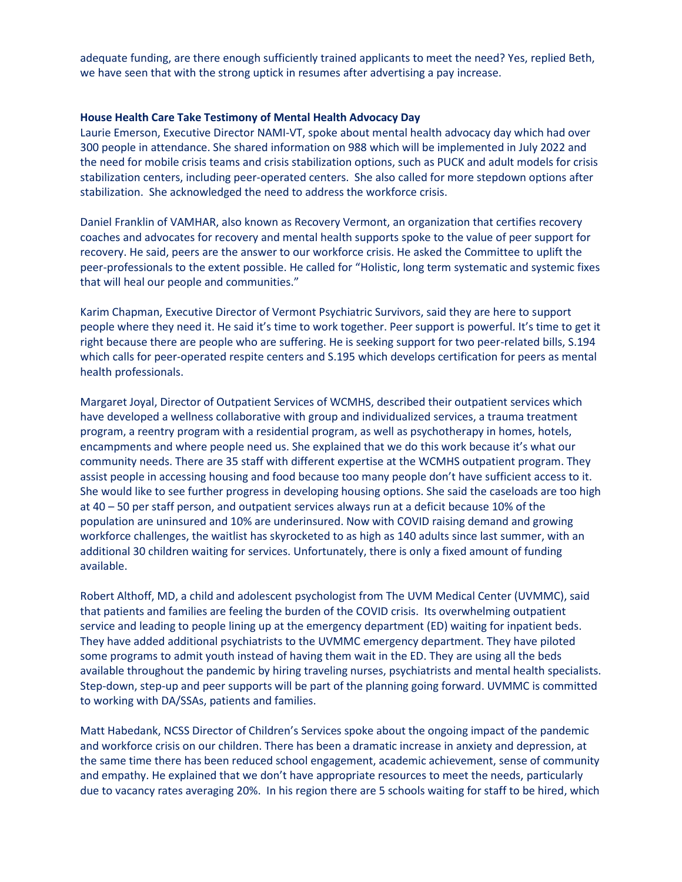adequate funding, are there enough sufficiently trained applicants to meet the need? Yes, replied Beth, we have seen that with the strong uptick in resumes after advertising a pay increase.

## **House Health Care Take Testimony of Mental Health Advocacy Day**

Laurie Emerson, Executive Director NAMI-VT, spoke about mental health advocacy day which had over 300 people in attendance. She shared information on 988 which will be implemented in July 2022 and the need for mobile crisis teams and crisis stabilization options, such as PUCK and adult models for crisis stabilization centers, including peer-operated centers. She also called for more stepdown options after stabilization. She acknowledged the need to address the workforce crisis.

Daniel Franklin of VAMHAR, also known as Recovery Vermont, an organization that certifies recovery coaches and advocates for recovery and mental health supports spoke to the value of peer support for recovery. He said, peers are the answer to our workforce crisis. He asked the Committee to uplift the peer-professionals to the extent possible. He called for "Holistic, long term systematic and systemic fixes that will heal our people and communities."

Karim Chapman, Executive Director of Vermont Psychiatric Survivors, said they are here to support people where they need it. He said it's time to work together. Peer support is powerful. It's time to get it right because there are people who are suffering. He is seeking support for two peer-related bills, S.194 which calls for peer-operated respite centers and S.195 which develops certification for peers as mental health professionals.

Margaret Joyal, Director of Outpatient Services of WCMHS, described their outpatient services which have developed a wellness collaborative with group and individualized services, a trauma treatment program, a reentry program with a residential program, as well as psychotherapy in homes, hotels, encampments and where people need us. She explained that we do this work because it's what our community needs. There are 35 staff with different expertise at the WCMHS outpatient program. They assist people in accessing housing and food because too many people don't have sufficient access to it. She would like to see further progress in developing housing options. She said the caseloads are too high at 40 – 50 per staff person, and outpatient services always run at a deficit because 10% of the population are uninsured and 10% are underinsured. Now with COVID raising demand and growing workforce challenges, the waitlist has skyrocketed to as high as 140 adults since last summer, with an additional 30 children waiting for services. Unfortunately, there is only a fixed amount of funding available.

Robert Althoff, MD, a child and adolescent psychologist from The UVM Medical Center (UVMMC), said that patients and families are feeling the burden of the COVID crisis. Its overwhelming outpatient service and leading to people lining up at the emergency department (ED) waiting for inpatient beds. They have added additional psychiatrists to the UVMMC emergency department. They have piloted some programs to admit youth instead of having them wait in the ED. They are using all the beds available throughout the pandemic by hiring traveling nurses, psychiatrists and mental health specialists. Step-down, step-up and peer supports will be part of the planning going forward. UVMMC is committed to working with DA/SSAs, patients and families.

Matt Habedank, NCSS Director of Children's Services spoke about the ongoing impact of the pandemic and workforce crisis on our children. There has been a dramatic increase in anxiety and depression, at the same time there has been reduced school engagement, academic achievement, sense of community and empathy. He explained that we don't have appropriate resources to meet the needs, particularly due to vacancy rates averaging 20%. In his region there are 5 schools waiting for staff to be hired, which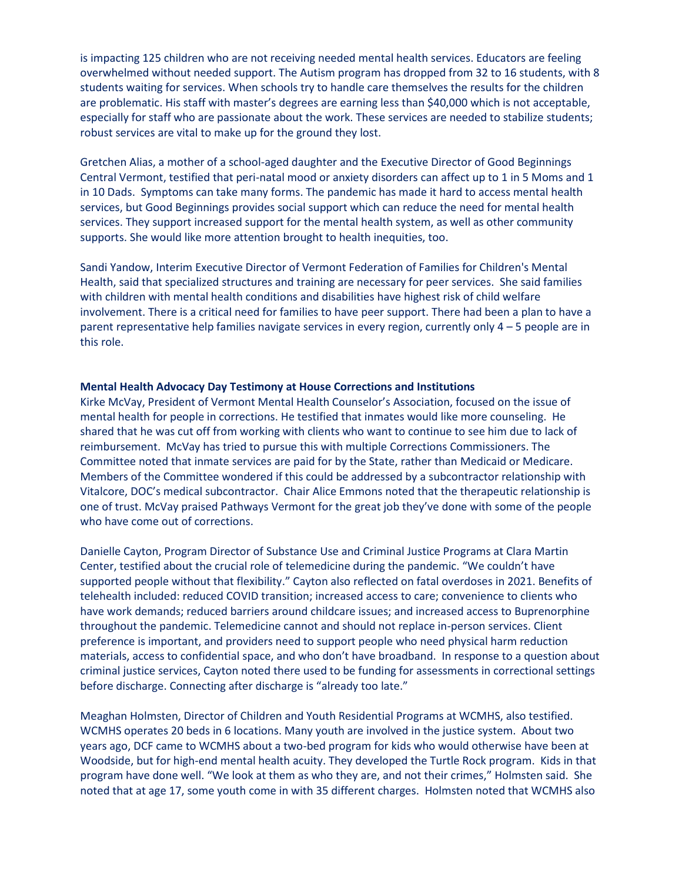is impacting 125 children who are not receiving needed mental health services. Educators are feeling overwhelmed without needed support. The Autism program has dropped from 32 to 16 students, with 8 students waiting for services. When schools try to handle care themselves the results for the children are problematic. His staff with master's degrees are earning less than \$40,000 which is not acceptable, especially for staff who are passionate about the work. These services are needed to stabilize students; robust services are vital to make up for the ground they lost.

Gretchen Alias, a mother of a school-aged daughter and the Executive Director of Good Beginnings Central Vermont, testified that peri-natal mood or anxiety disorders can affect up to 1 in 5 Moms and 1 in 10 Dads. Symptoms can take many forms. The pandemic has made it hard to access mental health services, but Good Beginnings provides social support which can reduce the need for mental health services. They support increased support for the mental health system, as well as other community supports. She would like more attention brought to health inequities, too.

Sandi Yandow, Interim Executive Director of Vermont Federation of Families for Children's Mental Health, said that specialized structures and training are necessary for peer services. She said families with children with mental health conditions and disabilities have highest risk of child welfare involvement. There is a critical need for families to have peer support. There had been a plan to have a parent representative help families navigate services in every region, currently only 4 – 5 people are in this role.

#### **Mental Health Advocacy Day Testimony at House Corrections and Institutions**

Kirke McVay, President of Vermont Mental Health Counselor's Association, focused on the issue of mental health for people in corrections. He testified that inmates would like more counseling. He shared that he was cut off from working with clients who want to continue to see him due to lack of reimbursement. McVay has tried to pursue this with multiple Corrections Commissioners. The Committee noted that inmate services are paid for by the State, rather than Medicaid or Medicare. Members of the Committee wondered if this could be addressed by a subcontractor relationship with Vitalcore, DOC's medical subcontractor. Chair Alice Emmons noted that the therapeutic relationship is one of trust. McVay praised Pathways Vermont for the great job they've done with some of the people who have come out of corrections.

Danielle Cayton, Program Director of Substance Use and Criminal Justice Programs at Clara Martin Center, testified about the crucial role of telemedicine during the pandemic. "We couldn't have supported people without that flexibility." Cayton also reflected on fatal overdoses in 2021. Benefits of telehealth included: reduced COVID transition; increased access to care; convenience to clients who have work demands; reduced barriers around childcare issues; and increased access to Buprenorphine throughout the pandemic. Telemedicine cannot and should not replace in-person services. Client preference is important, and providers need to support people who need physical harm reduction materials, access to confidential space, and who don't have broadband. In response to a question about criminal justice services, Cayton noted there used to be funding for assessments in correctional settings before discharge. Connecting after discharge is "already too late."

Meaghan Holmsten, Director of Children and Youth Residential Programs at WCMHS, also testified. WCMHS operates 20 beds in 6 locations. Many youth are involved in the justice system. About two years ago, DCF came to WCMHS about a two-bed program for kids who would otherwise have been at Woodside, but for high-end mental health acuity. They developed the Turtle Rock program. Kids in that program have done well. "We look at them as who they are, and not their crimes," Holmsten said. She noted that at age 17, some youth come in with 35 different charges. Holmsten noted that WCMHS also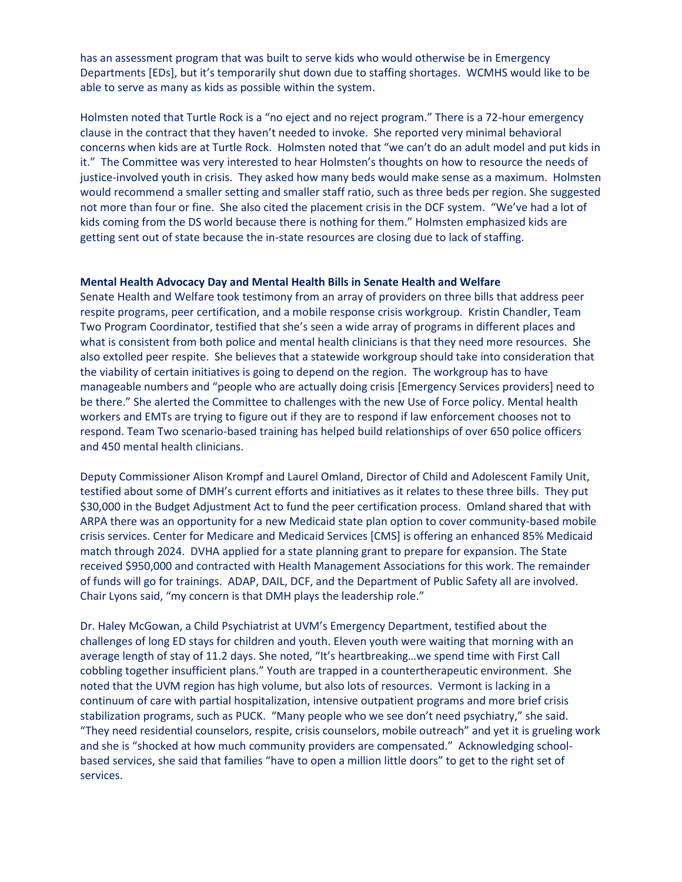has an assessment program that was built to serve kids who would otherwise be in Emergency Departments [EDs], but it's temporarily shut down due to staffing shortages. WCMHS would like to be able to serve as many as kids as possible within the system.

Holmsten noted that Turtle Rock is a "no eject and no reject program." There is a 72-hour emergency clause in the contract that they haven't needed to invoke. She reported very minimal behavioral concerns when kids are at Turtle Rock. Holmsten noted that "we can't do an adult model and put kids in it." The Committee was very interested to hear Holmsten's thoughts on how to resource the needs of justice-involved youth in crisis. They asked how many beds would make sense as a maximum. Holmsten would recommend a smaller setting and smaller staff ratio, such as three beds per region. She suggested not more than four or fine. She also cited the placement crisis in the DCF system. "We've had a lot of kids coming from the DS world because there is nothing for them." Holmsten emphasized kids are getting sent out of state because the in-state resources are closing due to lack of staffing.

## **Mental Health Advocacy Day and Mental Health Bills in Senate Health and Welfare**

Senate Health and Welfare took testimony from an array of providers on three bills that address peer respite programs, peer certification, and a mobile response crisis workgroup. Kristin Chandler, Team Two Program Coordinator, testified that she's seen a wide array of programs in different places and what is consistent from both police and mental health clinicians is that they need more resources. She also extolled peer respite. She believes that a statewide workgroup should take into consideration that the viability of certain initiatives is going to depend on the region. The workgroup has to have manageable numbers and "people who are actually doing crisis [Emergency Services providers] need to be there." She alerted the Committee to challenges with the new Use of Force policy. Mental health workers and EMTs are trying to figure out if they are to respond if law enforcement chooses not to respond. Team Two scenario-based training has helped build relationships of over 650 police officers and 450 mental health clinicians.

Deputy Commissioner Alison Krompf and Laurel Omland, Director of Child and Adolescent Family Unit, testified about some of DMH's current efforts and initiatives as it relates to these three bills. They put \$30,000 in the Budget Adjustment Act to fund the peer certification process. Omland shared that with ARPA there was an opportunity for a new Medicaid state plan option to cover community-based mobile crisis services. Center for Medicare and Medicaid Services [CMS] is offering an enhanced 85% Medicaid match through 2024. DVHA applied for a state planning grant to prepare for expansion. The State received \$950,000 and contracted with Health Management Associations for this work. The remainder of funds will go for trainings. ADAP, DAIL, DCF, and the Department of Public Safety all are involved. Chair Lyons said, "my concern is that DMH plays the leadership role."

Dr. Haley McGowan, a Child Psychiatrist at UVM's Emergency Department, testified about the challenges of long ED stays for children and youth. Eleven youth were waiting that morning with an average length of stay of 11.2 days. She noted, "It's heartbreaking…we spend time with First Call cobbling together insufficient plans." Youth are trapped in a countertherapeutic environment. She noted that the UVM region has high volume, but also lots of resources. Vermont is lacking in a continuum of care with partial hospitalization, intensive outpatient programs and more brief crisis stabilization programs, such as PUCK. "Many people who we see don't need psychiatry," she said. "They need residential counselors, respite, crisis counselors, mobile outreach" and yet it is grueling work and she is "shocked at how much community providers are compensated." Acknowledging schoolbased services, she said that families "have to open a million little doors" to get to the right set of services.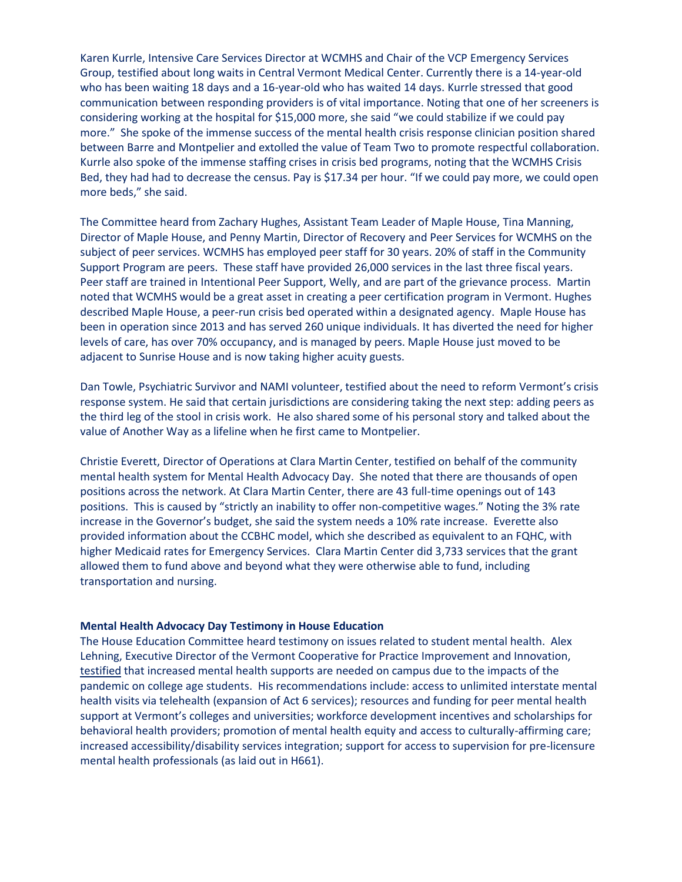Karen Kurrle, Intensive Care Services Director at WCMHS and Chair of the VCP Emergency Services Group, testified about long waits in Central Vermont Medical Center. Currently there is a 14-year-old who has been waiting 18 days and a 16-year-old who has waited 14 days. Kurrle stressed that good communication between responding providers is of vital importance. Noting that one of her screeners is considering working at the hospital for \$15,000 more, she said "we could stabilize if we could pay more." She spoke of the immense success of the mental health crisis response clinician position shared between Barre and Montpelier and extolled the value of Team Two to promote respectful collaboration. Kurrle also spoke of the immense staffing crises in crisis bed programs, noting that the WCMHS Crisis Bed, they had had to decrease the census. Pay is \$17.34 per hour. "If we could pay more, we could open more beds," she said.

The Committee heard from Zachary Hughes, Assistant Team Leader of Maple House, Tina Manning, Director of Maple House, and Penny Martin, Director of Recovery and Peer Services for WCMHS on the subject of peer services. WCMHS has employed peer staff for 30 years. 20% of staff in the Community Support Program are peers. These staff have provided 26,000 services in the last three fiscal years. Peer staff are trained in Intentional Peer Support, Welly, and are part of the grievance process. Martin noted that WCMHS would be a great asset in creating a peer certification program in Vermont. Hughes described Maple House, a peer-run crisis bed operated within a designated agency. Maple House has been in operation since 2013 and has served 260 unique individuals. It has diverted the need for higher levels of care, has over 70% occupancy, and is managed by peers. Maple House just moved to be adjacent to Sunrise House and is now taking higher acuity guests.

Dan Towle, Psychiatric Survivor and NAMI volunteer, testified about the need to reform Vermont's crisis response system. He said that certain jurisdictions are considering taking the next step: adding peers as the third leg of the stool in crisis work. He also shared some of his personal story and talked about the value of Another Way as a lifeline when he first came to Montpelier.

Christie Everett, Director of Operations at Clara Martin Center, testified on behalf of the community mental health system for Mental Health Advocacy Day. She noted that there are thousands of open positions across the network. At Clara Martin Center, there are 43 full-time openings out of 143 positions. This is caused by "strictly an inability to offer non-competitive wages." Noting the 3% rate increase in the Governor's budget, she said the system needs a 10% rate increase. Everette also provided information about the CCBHC model, which she described as equivalent to an FQHC, with higher Medicaid rates for Emergency Services. Clara Martin Center did 3,733 services that the grant allowed them to fund above and beyond what they were otherwise able to fund, including transportation and nursing.

## **Mental Health Advocacy Day Testimony in House Education**

The House Education Committee heard testimony on issues related to student mental health. Alex Lehning, Executive Director of the Vermont Cooperative for Practice Improvement and Innovation, [testified](https://legislature.vermont.gov/Documents/2022/WorkGroups/House%20Education/Updates%20-%20Voices%20from%20the%20Field/Mental%20Health%20Advocacy%20Day/W~Alex%20Lehning~Vermont%20Cooperative%20for%20Practice%20Improvement%20and%20Innovation-%20Mental%20Health%20Advocacy%20Day%20Testimony~2-3-2022.pdf) that increased mental health supports are needed on campus due to the impacts of the pandemic on college age students. His recommendations include: access to unlimited interstate mental health visits via telehealth (expansion of Act 6 services); resources and funding for peer mental health support at Vermont's colleges and universities; workforce development incentives and scholarships for behavioral health providers; promotion of mental health equity and access to culturally-affirming care; increased accessibility/disability services integration; support for access to supervision for pre-licensure mental health professionals (as laid out in H661).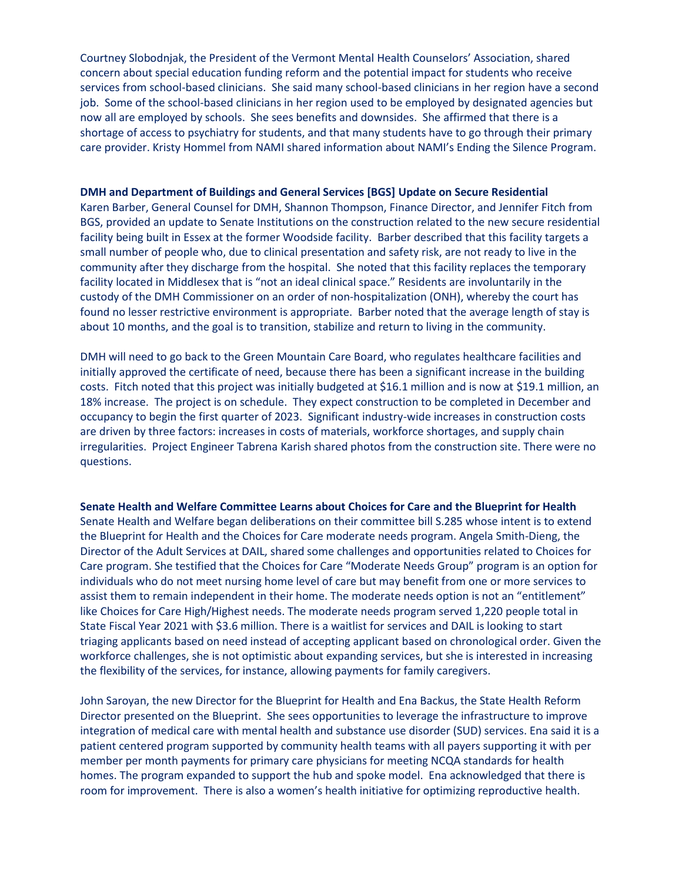Courtney Slobodnjak, the President of the Vermont Mental Health Counselors' Association, shared concern about special education funding reform and the potential impact for students who receive services from school-based clinicians. She said many school-based clinicians in her region have a second job. Some of the school-based clinicians in her region used to be employed by designated agencies but now all are employed by schools. She sees benefits and downsides. She affirmed that there is a shortage of access to psychiatry for students, and that many students have to go through their primary care provider. Kristy Hommel from NAMI shared information about NAMI's Ending the Silence Program.

#### **DMH and Department of Buildings and General Services [BGS] Update on Secure Residential**

Karen Barber, General Counsel for DMH, Shannon Thompson, Finance Director, and Jennifer Fitch from BGS, provided an update to Senate Institutions on the construction related to the new secure residential facility being built in Essex at the former Woodside facility. Barber described that this facility targets a small number of people who, due to clinical presentation and safety risk, are not ready to live in the community after they discharge from the hospital. She noted that this facility replaces the temporary facility located in Middlesex that is "not an ideal clinical space." Residents are involuntarily in the custody of the DMH Commissioner on an order of non-hospitalization (ONH), whereby the court has found no lesser restrictive environment is appropriate. Barber noted that the average length of stay is about 10 months, and the goal is to transition, stabilize and return to living in the community.

DMH will need to go back to the Green Mountain Care Board, who regulates healthcare facilities and initially approved the certificate of need, because there has been a significant increase in the building costs. Fitch noted that this project was initially budgeted at \$16.1 million and is now at \$19.1 million, an 18% increase. The project is on schedule. They expect construction to be completed in December and occupancy to begin the first quarter of 2023. Significant industry-wide increases in construction costs are driven by three factors: increases in costs of materials, workforce shortages, and supply chain irregularities. Project Engineer Tabrena Karish shared photos from the construction site. There were no questions.

## **Senate Health and Welfare Committee Learns about Choices for Care and the Blueprint for Health**

Senate Health and Welfare began deliberations on their committee bill S.285 whose intent is to extend the Blueprint for Health and the Choices for Care moderate needs program. Angela Smith-Dieng, the Director of the Adult Services at DAIL, shared some challenges and opportunities related to Choices for Care program. She testified that the Choices for Care "Moderate Needs Group" program is an option for individuals who do not meet nursing home level of care but may benefit from one or more services to assist them to remain independent in their home. The moderate needs option is not an "entitlement" like Choices for Care High/Highest needs. The moderate needs program served 1,220 people total in State Fiscal Year 2021 with \$3.6 million. There is a waitlist for services and DAIL is looking to start triaging applicants based on need instead of accepting applicant based on chronological order. Given the workforce challenges, she is not optimistic about expanding services, but she is interested in increasing the flexibility of the services, for instance, allowing payments for family caregivers.

John Saroyan, the new Director for the Blueprint for Health and Ena Backus, the State Health Reform Director presented on the Blueprint. She sees opportunities to leverage the infrastructure to improve integration of medical care with mental health and substance use disorder (SUD) services. Ena said it is a patient centered program supported by community health teams with all payers supporting it with per member per month payments for primary care physicians for meeting NCQA standards for health homes. The program expanded to support the hub and spoke model. Ena acknowledged that there is room for improvement. There is also a women's health initiative for optimizing reproductive health.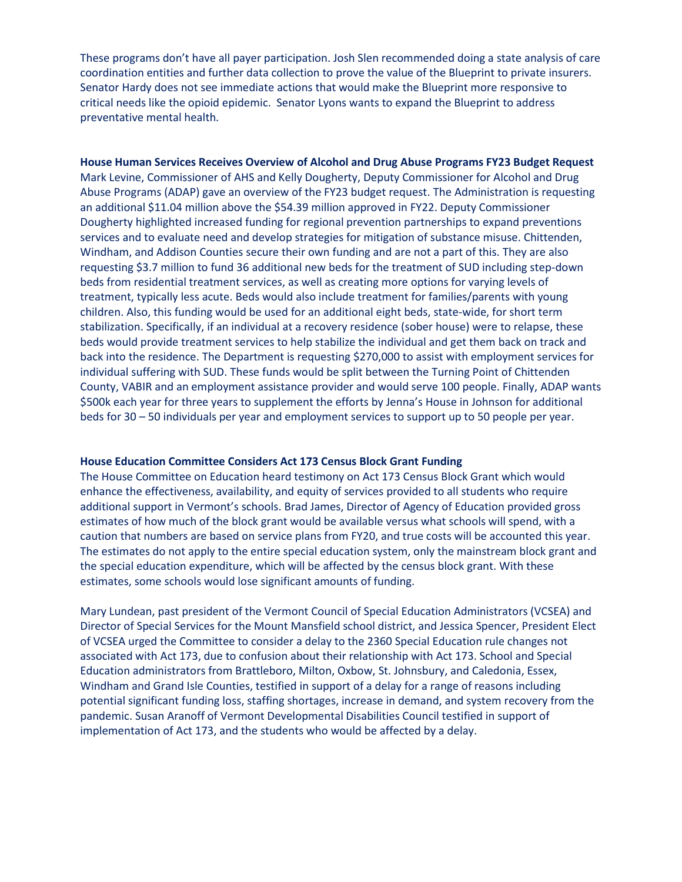These programs don't have all payer participation. Josh Slen recommended doing a state analysis of care coordination entities and further data collection to prove the value of the Blueprint to private insurers. Senator Hardy does not see immediate actions that would make the Blueprint more responsive to critical needs like the opioid epidemic. Senator Lyons wants to expand the Blueprint to address preventative mental health.

**House Human Services Receives Overview of Alcohol and Drug Abuse Programs FY23 Budget Request** Mark Levine, Commissioner of AHS and Kelly Dougherty, Deputy Commissioner for Alcohol and Drug Abuse Programs (ADAP) gave an overview of the FY23 budget request. The Administration is requesting an additional \$11.04 million above the \$54.39 million approved in FY22. Deputy Commissioner Dougherty highlighted increased funding for regional prevention partnerships to expand preventions services and to evaluate need and develop strategies for mitigation of substance misuse. Chittenden, Windham, and Addison Counties secure their own funding and are not a part of this. They are also requesting \$3.7 million to fund 36 additional new beds for the treatment of SUD including step-down beds from residential treatment services, as well as creating more options for varying levels of treatment, typically less acute. Beds would also include treatment for families/parents with young children. Also, this funding would be used for an additional eight beds, state-wide, for short term stabilization. Specifically, if an individual at a recovery residence (sober house) were to relapse, these beds would provide treatment services to help stabilize the individual and get them back on track and back into the residence. The Department is requesting \$270,000 to assist with employment services for individual suffering with SUD. These funds would be split between the Turning Point of Chittenden County, VABIR and an employment assistance provider and would serve 100 people. Finally, ADAP wants \$500k each year for three years to supplement the efforts by Jenna's House in Johnson for additional beds for 30 – 50 individuals per year and employment services to support up to 50 people per year.

#### **House Education Committee Considers Act 173 Census Block Grant Funding**

The House Committee on Education heard testimony on Act 173 Census Block Grant which would enhance the effectiveness, availability, and equity of services provided to all students who require additional support in Vermont's schools. Brad James, Director of Agency of Education provided gross estimates of how much of the block grant would be available versus what schools will spend, with a caution that numbers are based on service plans from FY20, and true costs will be accounted this year. The estimates do not apply to the entire special education system, only the mainstream block grant and the special education expenditure, which will be affected by the census block grant. With these estimates, some schools would lose significant amounts of funding.

Mary Lundean, past president of the Vermont Council of Special Education Administrators (VCSEA) and Director of Special Services for the Mount Mansfield school district, and Jessica Spencer, President Elect of VCSEA urged the Committee to consider a delay to the 2360 Special Education rule changes not associated with Act 173, due to confusion about their relationship with Act 173. School and Special Education administrators from Brattleboro, Milton, Oxbow, St. Johnsbury, and Caledonia, Essex, Windham and Grand Isle Counties, testified in support of a delay for a range of reasons including potential significant funding loss, staffing shortages, increase in demand, and system recovery from the pandemic. Susan Aranoff of Vermont Developmental Disabilities Council testified in support of implementation of Act 173, and the students who would be affected by a delay.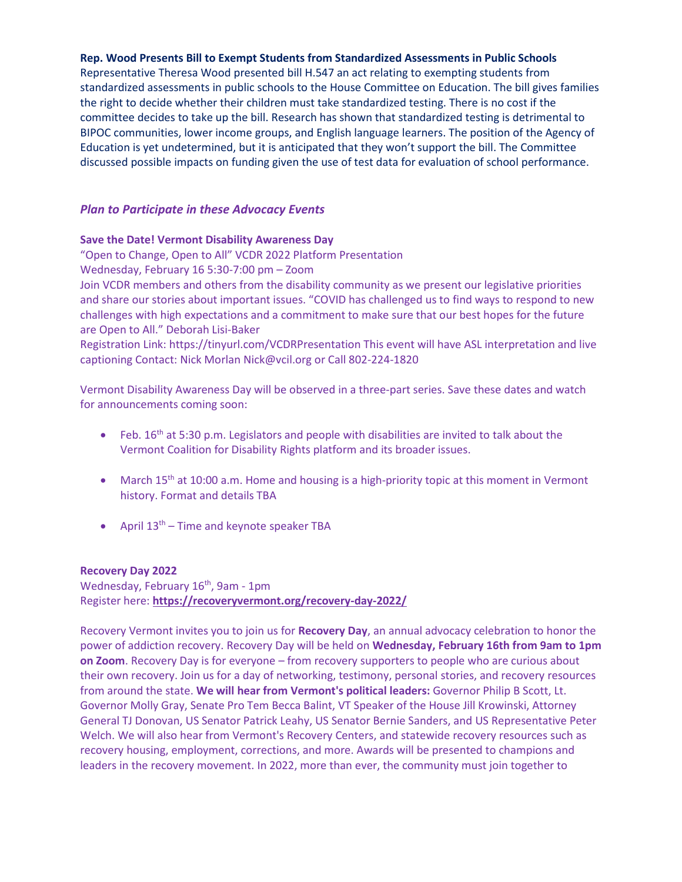## **Rep. Wood Presents Bill to Exempt Students from Standardized Assessments in Public Schools**

Representative Theresa Wood presented bill H.547 an act relating to exempting students from standardized assessments in public schools to the House Committee on Education. The bill gives families the right to decide whether their children must take standardized testing. There is no cost if the committee decides to take up the bill. Research has shown that standardized testing is detrimental to BIPOC communities, lower income groups, and English language learners. The position of the Agency of Education is yet undetermined, but it is anticipated that they won't support the bill. The Committee discussed possible impacts on funding given the use of test data for evaluation of school performance.

# *Plan to Participate in these Advocacy Events*

## **Save the Date! Vermont Disability Awareness Day**

"Open to Change, Open to All" VCDR 2022 Platform Presentation Wednesday, February 16 5:30-7:00 pm – Zoom Join VCDR members and others from the disability community as we present our legislative priorities and share our stories about important issues. "COVID has challenged us to find ways to respond to new

challenges with high expectations and a commitment to make sure that our best hopes for the future are Open to All." Deborah Lisi-Baker

Registration Link: https://tinyurl.com/VCDRPresentation This event will have ASL interpretation and live captioning Contact: Nick Morlan Nick@vcil.org or Call 802-224-1820

Vermont Disability Awareness Day will be observed in a three-part series. Save these dates and watch for announcements coming soon:

- Feb. 16<sup>th</sup> at 5:30 p.m. Legislators and people with disabilities are invited to talk about the Vermont Coalition for Disability Rights platform and its broader issues.
- March 15<sup>th</sup> at 10:00 a.m. Home and housing is a high-priority topic at this moment in Vermont history. Format and details TBA
- April  $13<sup>th</sup>$  Time and keynote speaker TBA

## **Recovery Day 2022**

Wednesday, February 16<sup>th</sup>, 9am - 1pm Register here: **<https://recoveryvermont.org/recovery-day-2022/>**

Recovery Vermont invites you to join us for **Recovery Day**, an annual advocacy celebration to honor the power of addiction recovery. Recovery Day will be held on **Wednesday, February 16th from 9am to 1pm on Zoom**. Recovery Day is for everyone – from recovery supporters to people who are curious about their own recovery. Join us for a day of networking, testimony, personal stories, and recovery resources from around the state. **We will hear from Vermont's political leaders:** Governor Philip B Scott, Lt. Governor Molly Gray, Senate Pro Tem Becca Balint, VT Speaker of the House Jill Krowinski, Attorney General TJ Donovan, US Senator Patrick Leahy, US Senator Bernie Sanders, and US Representative Peter Welch. We will also hear from Vermont's Recovery Centers, and statewide recovery resources such as recovery housing, employment, corrections, and more. Awards will be presented to champions and leaders in the recovery movement. In 2022, more than ever, the community must join together to